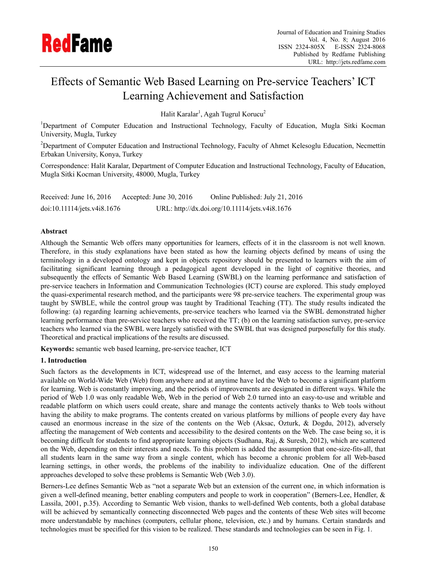

# Effects of Semantic Web Based Learning on Pre-service Teachers' ICT Learning Achievement and Satisfaction

Halit Karalar<sup>1</sup>, Agah Tugrul Korucu<sup>2</sup>

<sup>1</sup>Department of Computer Education and Instructional Technology, Faculty of Education, Mugla Sitki Kocman University, Mugla, Turkey

<sup>2</sup>Department of Computer Education and Instructional Technology, Faculty of Ahmet Kelesoglu Education, Necmettin Erbakan University, Konya, Turkey

Correspondence: Halit Karalar, Department of Computer Education and Instructional Technology, Faculty of Education. Mugla Sitki Kocman University, 48000, Mugla, Turkey

| Received: June $16, 2016$   | Accepted: June $30, 2016$ | Online Published: July 21, 2016                |
|-----------------------------|---------------------------|------------------------------------------------|
| doi:10.11114/jets.v4i8.1676 |                           | URL: http://dx.doi.org/10.11114/jets.v4i8.1676 |

# Abstract

Although the Semantic Web offers many opportunities for learners, effects of it in the classroom is not well known. Therefore, in this study explanations have been stated as how the learning objects defined by means of using the terminology in a developed ontology and kept in objects repository should be presented to learners with the aim of facilitating significant learning through a pedagogical agent developed in the light of cognitive theories, and subsequently the effects of Semantic Web Based Learning (SWBL) on the learning performance and satisfaction of pre-service teachers in Information and Communication Technologies (ICT) course are explored. This study employed the quasi-experimental research method, and the participants were 98 pre-service teachers. The experimental group was taught by SWBLE, while the control group was taught by Traditional Teaching (TT). The study results indicated the following: (a) regarding learning achievements, pre-service teachers who learned via the SWBL demonstrated higher learning performance than pre-service teachers who received the TT; (b) on the learning satisfaction survey, pre-service teachers who learned via the SWBL were largely satisfied with the SWBL that was designed purposefully for this study. Theoretical and practical implications of the results are discussed.

Keywords: semantic web based learning, pre-service teacher, ICT

# 1. Introduction

Such factors as the developments in ICT, widespread use of the Internet, and easy access to the learning material available on World-Wide Web (Web) from anywhere and at anytime have led the Web to become a significant platform for learning. Web is constantly improving, and the periods of improvements are designated in different ways. While the period of Web 1.0 was only readable Web, Web in the period of Web 2.0 turned into an easy-to-use and writable and readable platform on which users could create, share and manage the contents actively thanks to Web tools without having the ability to make programs. The contents created on various platforms by millions of people every day have caused an enormous increase in the size of the contents on the Web (Aksac, Ozturk, & Dogdu, 2012), adversely affecting the management of Web contents and accessibility to the desired contents on the Web. The case being so, it is becoming difficult for students to find appropriate learning objects (Sudhana, Raj, & Suresh, 2012), which are scattered on the Web, depending on their interests and needs. To this problem is added the assumption that one-size-fits-all, that all students learn in the same way from a single content, which has become a chronic problem for all Web-based learning settings, in other words, the problems of the inability to individualize education. One of the different approaches developed to solve these problems is Semantic Web (Web 3.0).

Berners-Lee defines Semantic Web as "not a separate Web but an extension of the current one, in which information is given a well-defined meaning, better enabling computers and people to work in cooperation" (Berners-Lee, Hendler, & Lassila, 2001, p.35). According to Semantic Web vision, thanks to well-defined Web contents, both a global database will be achieved by semantically connecting disconnected Web pages and the contents of these Web sites will become more understandable by machines (computers, cellular phone, television, etc.) and by humans. Certain standards and technologies must be specified for this vision to be realized. These standards and technologies can be seen in Fig. 1.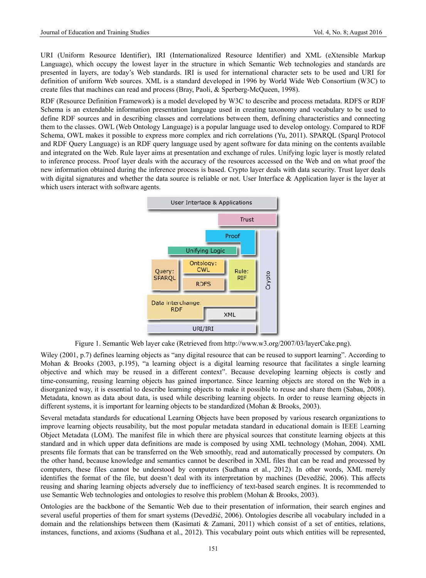URI (Uniform Resource Identifier), IRI (Internationalized Resource Identifier) and XML (eXtensible Markup Language), which occupy the lowest layer in the structure in which Semantic Web technologies and standards are presented in layers, are today's Web standards. IRI is used for international character sets to be used and URI for definition of uniform Web sources. XML is a standard developed in 1996 by World Wide Web Consortium (W3C) to create files that machines can read and process (Bray, Paoli, & Sperberg-McQueen, 1998).

RDF (Resource Definition Framework) is a model developed by W3C to describe and process metadata. RDFS or RDF Schema is an extendable information presentation language used in creating taxonomy and vocabulary to be used to define RDF sources and in describing classes and correlations between them, defining characteristics and connecting them to the classes. OWL (Web Ontology Language) is a popular language used to develop ontology. Compared to RDF Schema, OWL makes it possible to express more complex and rich correlations (Yu, 2011). SPARQL (Sparql Protocol and RDF Query Language) is an RDF query language used by agent software for data mining on the contents available and integrated on the Web. Rule layer aims at presentation and exchange of rules. Unifying logic layer is mostly related to inference process. Proof layer deals with the accuracy of the resources accessed on the Web and on what proof the new information obtained during the inference process is based. Crypto layer deals with data security. Trust layer deals with digital signatures and whether the data source is reliable or not. User Interface  $\&$  Application layer is the layer at which users interact with software agents.



Figure 1. Semantic Web layer cake (Retrieved from http://www.w3.org/2007/03/layerCake.png).

Wiley (2001, p.7) defines learning objects as "any digital resource that can be reused to support learning". According to Mohan & Brooks (2003, p.195), "a learning object is a digital learning resource that facilitates a single learning objective and which may be reused in a different context". Because developing learning objects is costly and time-consuming, reusing learning objects has gained importance. Since learning objects are stored on the Web in a disorganized way, it is essential to describe learning objects to make it possible to reuse and share them (Sabau, 2008). Metadata, known as data about data, is used while describing learning objects. In order to reuse learning objects in different systems, it is important for learning objects to be standardized (Mohan & Brooks, 2003).

Several metadata standards for educational Learning Objects have been proposed by various research organizations to improve learning objects reusability, but the most popular metadata standard in educational domain is IEEE Learning Object Metadata (LOM). The manifest file in which there are physical sources that constitute learning objects at this standard and in which upper data definitions are made is composed by using XML technology (Mohan, 2004). XML presents file formats that can be transferred on the Web smoothly, read and automatically processed by computers. On the other hand, because knowledge and semantics cannot be described in XML files that can be read and processed by computers, these files cannot be understood by computers (Sudhana et al., 2012). In other words, XML merely identifies the format of the file, but doesn't deal with its interpretation by machines (Devedžić, 2006). This affects reusing and sharing learning objects adversely due to inefficiency of text-based search engines. It is recommended to use Semantic Web technologies and ontologies to resolve this problem (Mohan & Brooks, 2003).

Ontologies are the backbone of the Semantic Web due to their presentation of information, their search engines and several useful properties of them for smart systems (Devedžić, 2006). Ontologies describe all vocabulary included in a domain and the relationships between them (Kasimati & Zamani, 2011) which consist of a set of entities, relations, instances, functions, and axioms (Sudhana et al., 2012). This vocabulary point outs which entities will be represented,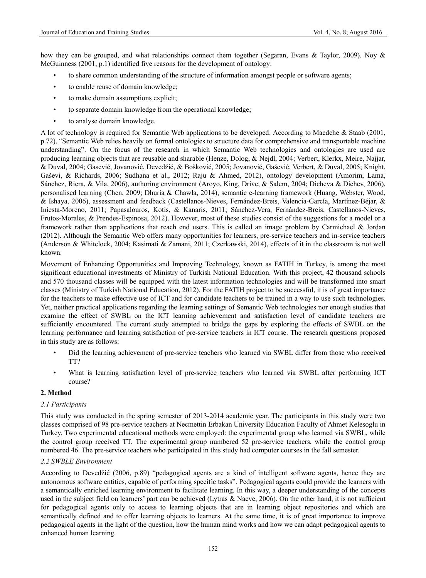how they can be grouped, and what relationships connect them together (Segaran, Evans & Taylor, 2009). Noy & McGuinness (2001, p.1) identified five reasons for the development of ontology:

- to share common understanding of the structure of information amongst people or software agents;
- to enable reuse of domain knowledge;
- to make domain assumptions explicit;
- to separate domain knowledge from the operational knowledge;
- to analyse domain knowledge.

A lot of technology is required for Semantic Web applications to be developed. According to Maedche & Staab (2001, p.72), "Semantic Web relies heavily on formal ontologies to structure data for comprehensive and transportable machine understanding". On the focus of the research in which Semantic Web technologies and ontologies are used are producing learning objects that are reusable and sharable (Henze, Dolog, & Nejdl, 2004; Verbert, Klerkx, Meire, Najjar, & Duval, 2004; Gasević, Jovanović, Devedžić, & Bošković, 2005; Jovanović, Gašević, Verbert, & Duval, 2005; Knight, Gaševi, & Richards, 2006; Sudhana et al., 2012; Raju & Ahmed, 2012), ontology development (Amorim, Lama, Sánchez, Riera, & Vila, 2006), authoring environment (Aroyo, King, Drive, & Salem, 2004; Dicheva & Dichev, 2006), personalised learning (Chen, 2009; Dhuria & Chawla, 2014), semantic e-learning framework (Huang, Webster, Wood, & Ishaya, 2006), assessment and feedback (Castellanos-Nieves, Fernández-Breis, Valencia-García, Martínez-Béjar, & Iniesta-Moreno, 2011; Papasalouros, Kotis, & Kanaris, 2011; Sánchez-Vera, Fernández-Breis, Castellanos-Nieves, Frutos-Morales, & Prendes-Espinosa, 2012). However, most of these studies consist of the suggestions for a model or a framework rather than applications that reach end users. This is called an image problem by Carmichael & Jordan (2012). Although the Semantic Web offers many opportunities for learners, pre-service teachers and in-service teachers (Anderson & Whitelock, 2004; Kasimati & Zamani, 2011; Czerkawski, 2014), effects of it in the classroom is not well known.

Movement of Enhancing Opportunities and Improving Technology, known as FATIH in Turkey, is among the most significant educational investments of Ministry of Turkish National Education. With this project, 42 thousand schools and 570 thousand classes will be equipped with the latest information technologies and will be transformed into smart classes (Ministry of Turkish National Education, 2012). For the FATIH project to be successful, it is of great importance for the teachers to make effective use of ICT and for candidate teachers to be trained in a way to use such technologies. Yet, neither practical applications regarding the learning settings of Semantic Web technologies nor enough studies that examine the effect of SWBL on the ICT learning achievement and satisfaction level of candidate teachers are sufficiently encountered. The current study attempted to bridge the gaps by exploring the effects of SWBL on the learning performance and learning satisfaction of pre-service teachers in ICT course. The research questions proposed in this study are as follows:

- Did the learning achievement of pre-service teachers who learned via SWBL differ from those who received TT?
- What is learning satisfaction level of pre-service teachers who learned via SWBL after performing ICT course?

#### **2. Method**

#### *2.1 Participants*

This study was conducted in the spring semester of 2013-2014 academic year. The participants in this study were two classes comprised of 98 pre-service teachers at Necmettin Erbakan University Education Faculty of Ahmet Kelesoglu in Turkey. Two experimental educational methods were employed: the experimental group who learned via SWBL, while the control group received TT. The experimental group numbered 52 pre-service teachers, while the control group numbered 46. The pre-service teachers who participated in this study had computer courses in the fall semester.

#### *2.2 SWBLE Environment*

According to Devedžić (2006, p.89) "pedagogical agents are a kind of intelligent software agents, hence they are autonomous software entities, capable of performing specific tasks". Pedagogical agents could provide the learners with a semantically enriched learning environment to facilitate learning. In this way, a deeper understanding of the concepts used in the subject field on learners' part can be achieved (Lytras & Naeve, 2006). On the other hand, it is not sufficient for pedagogical agents only to access to learning objects that are in learning object repositories and which are semantically defined and to offer learning objects to learners. At the same time, it is of great importance to improve pedagogical agents in the light of the question, how the human mind works and how we can adapt pedagogical agents to enhanced human learning.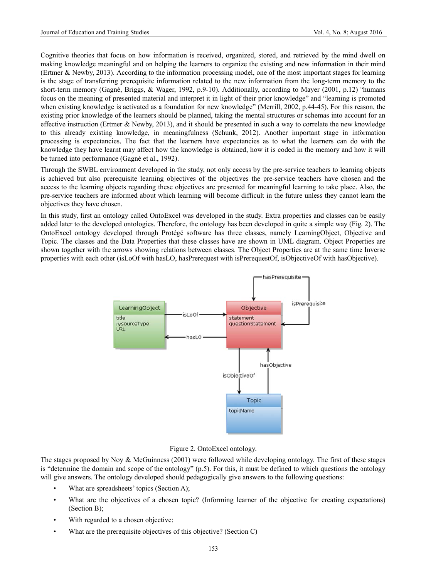Cognitive theories that focus on how information is received, organized, stored, and retrieved by the mind dwell on making knowledge meaningful and on helping the learners to organize the existing and new information in their mind (Ertmer & Newby, 2013). According to the information processing model, one of the most important stages for learning is the stage of transferring prerequisite information related to the new information from the long-term memory to the short-term memory (Gagné, Briggs, & Wager, 1992, p.9-10). Additionally, according to Mayer (2001, p.12) "humans focus on the meaning of presented material and interpret it in light of their prior knowledge" and "learning is promoted when existing knowledge is activated as a foundation for new knowledge" (Merrill, 2002, p.44-45). For this reason, the existing prior knowledge of the learners should be planned, taking the mental structures or schemas into account for an effective instruction (Ertmer & Newby, 2013), and it should be presented in such a way to correlate the new knowledge to this already existing knowledge, in meaningfulness (Schunk, 2012). Another important stage in information processing is expectancies. The fact that the learners have expectancies as to what the learners can do with the knowledge they have learnt may affect how the knowledge is obtained, how it is coded in the memory and how it will be turned into performance (Gagné et al., 1992).

Through the SWBL environment developed in the study, not only access by the pre-service teachers to learning objects is achieved but also prerequisite learning objectives of the objectives the pre-service teachers have chosen and the access to the learning objects regarding these objectives are presented for meaningful learning to take place. Also, the pre-service teachers are informed about which learning will become difficult in the future unless they cannot learn the objectives they have chosen.

In this study, first an ontology called OntoExcel was developed in the study. Extra properties and classes can be easily added later to the developed ontologies. Therefore, the ontology has been developed in quite a simple way (Fig. 2). The OntoExcel ontology developed through Protégé software has three classes, namely LearningObject, Objective and Topic. The classes and the Data Properties that these classes have are shown in UML diagram. Object Properties are shown together with the arrows showing relations between classes. The Object Properties are at the same time Inverse properties with each other (isLoOf with hasLO, hasPrerequest with isPrerequestOf, isObjectiveOf with hasObjective).



#### Figure 2. OntoExcel ontology.

The stages proposed by Noy  $\&$  McGuinness (2001) were followed while developing ontology. The first of these stages is "determine the domain and scope of the ontology" (p.5). For this, it must be defined to which questions the ontology will give answers. The ontology developed should pedagogically give answers to the following questions:

- What are spreadsheets' topics (Section A);
- What are the objectives of a chosen topic? (Informing learner of the objective for creating expectations) (Section B);
- With regarded to a chosen objective:
- What are the prerequisite objectives of this objective? (Section C)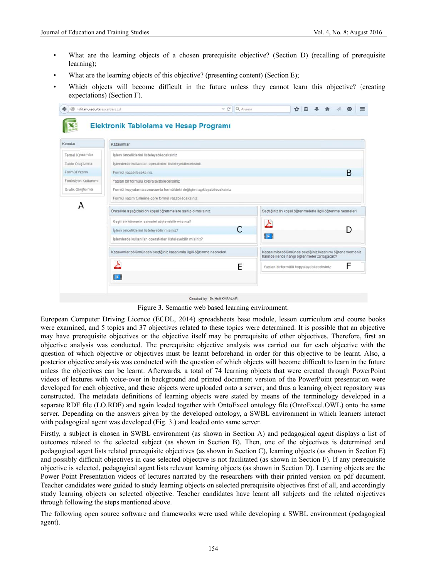- What are the learning objects of a chosen prerequisite objective? (Section D) (recalling of prerequisite learning);
- What are the learning objects of this objective? (presenting content) (Section E);
- Which objects will become difficult in the future unless they cannot learn this objective? (creating expectations) (Section F).

| Konular             | Kazanımlar                                                          |                                                                                                        |  |  |  |  |
|---------------------|---------------------------------------------------------------------|--------------------------------------------------------------------------------------------------------|--|--|--|--|
| Temel Kavramlar     | İslem önceliklerini listeleyebleceksiniz                            |                                                                                                        |  |  |  |  |
| Tablo Oluşturma     | İşlemlerde kullanılan operatörleri listeleyebileceksiniz            |                                                                                                        |  |  |  |  |
| Formül Yazımı       | Formül yazabileceksiniz                                             |                                                                                                        |  |  |  |  |
| Fonksiyon Kullanımı | Yazılan bir formülü kopyalayabileceksiniz                           |                                                                                                        |  |  |  |  |
| Grafik Oluşturma    | Formül kopyalama sonucunda formüldeki değişimi açıklayabileceksiniz |                                                                                                        |  |  |  |  |
|                     | Formül yazım türlerine göre formül yazabileceksiniz                 |                                                                                                        |  |  |  |  |
| А                   | Öncelikle aşağıdaki ön koşul öğrenmelere sahip olmalısınız.         | Seçtiğiniz ön koşul öğrenmelerle ilgili öğrenme nesneleri                                              |  |  |  |  |
|                     | Seçili bir hücrenin adresini söyleyebilir misiniz?                  | 스                                                                                                      |  |  |  |  |
|                     | İşlem önceliklerini listeleyebilir misiniz?                         | C<br>D                                                                                                 |  |  |  |  |
|                     | İşlemlerde kullanılan operatörleri listeleyebilir misiniz?          | 巨目                                                                                                     |  |  |  |  |
|                     | Kazanımlar bölümünden seçtiğiniz kazanımla ilgili öğrenme nesneleri | Kazanımlar bölümünde seçtiğiniz kazanımı öğrenememeniz<br>halinde ileride hangi öğrenmeler zorlaşacak? |  |  |  |  |
|                     | A                                                                   | F<br>E<br>Yazılan bir formülü kopyalayabileceksiniz                                                    |  |  |  |  |

Figure 3. Semantic web based learning environment.

European Computer Driving Licence (ECDL, 2014) spreadsheets base module, lesson curriculum and course books were examined, and 5 topics and 37 objectives related to these topics were determined. It is possible that an objective may have prerequisite objectives or the objective itself may be prerequisite of other objectives. Therefore, first an objective analysis was conducted. The prerequisite objective analysis was carried out for each objective with the question of which objective or objectives must be learnt beforehand in order for this objective to be learnt. Also, a posterior objective analysis was conducted with the question of which objects will become difficult to learn in the future unless the objectives can be learnt. Afterwards, a total of 74 learning objects that were created through PowerPoint videos of lectures with voice-over in background and printed document version of the PowerPoint presentation were developed for each objective, and these objects were uploaded onto a server; and thus a learning object repository was constructed. The metadata definitions of learning objects were stated by means of the terminology developed in a separate RDF file (LO.RDF) and again loaded together with OntoExcel ontology file (OntoExcel.OWL) onto the same server. Depending on the answers given by the developed ontology, a SWBL environment in which learners interact with pedagogical agent was developed (Fig. 3.) and loaded onto same server.

Firstly, a subject is chosen in SWBL environment (as shown in Section A) and pedagogical agent displays a list of outcomes related to the selected subject (as shown in Section B). Then, one of the objectives is determined and pedagogical agent lists related prerequisite objectives (as shown in Section C), learning objects (as shown in Section E) and possibly difficult objectives in case selected objective is not facilitated (as shown in Section F). If any prerequisite objective is selected, pedagogical agent lists relevant learning objects (as shown in Section D). Learning objects are the Power Point Presentation videos of lectures narrated by the researchers with their printed version on pdf document. Teacher candidates were guided to study learning objects on selected prerequisite objectives first of all, and accordingly study learning objects on selected objective. Teacher candidates have learnt all subjects and the related objectives through following the steps mentioned above.

The following open source software and frameworks were used while developing a SWBL environment (pedagogical agent).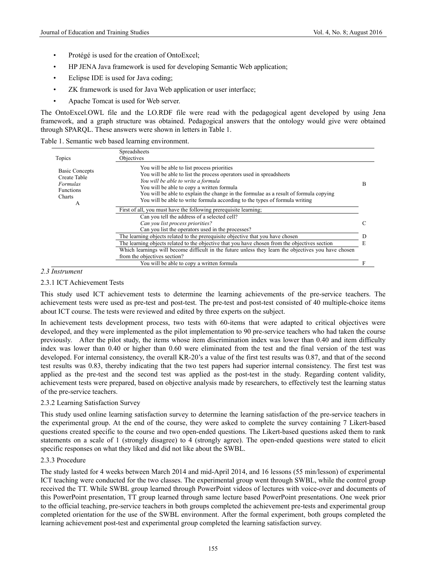- Protégé is used for the creation of OntoExcel;
- HP JENA Java framework is used for developing Semantic Web application;
- Eclipse IDE is used for Java coding;
- ZK framework is used for Java Web application or user interface;
- Apache Tomcat is used for Web server.

The OntoExcel.OWL file and the LO.RDF file were read with the pedagogical agent developed by using Jena framework, and a graph structure was obtained. Pedagogical answers that the ontology would give were obtained through SPARQL. These answers were shown in letters in Table 1.

|  |  |  | Table 1. Semantic web based learning environment. |
|--|--|--|---------------------------------------------------|
|  |  |  |                                                   |

| Topics                                                                                      | Spreadsheets<br>Objectives                                                                                                                                                                                                                                                                                                                                                      |  |  |
|---------------------------------------------------------------------------------------------|---------------------------------------------------------------------------------------------------------------------------------------------------------------------------------------------------------------------------------------------------------------------------------------------------------------------------------------------------------------------------------|--|--|
| <b>Basic Concepts</b><br>Create Table<br><b>Formulas</b><br><b>Functions</b><br>Charts<br>А | You will be able to list process priorities<br>You will be able to list the process operators used in spreadsheets<br>You will be able to write a formula<br>You will be able to copy a written formula<br>You will be able to explain the change in the formulae as a result of formula copying<br>You will be able to write formula according to the types of formula writing |  |  |
|                                                                                             | First of all, you must have the following prerequisite learning.                                                                                                                                                                                                                                                                                                                |  |  |
|                                                                                             | Can you tell the address of a selected cell?                                                                                                                                                                                                                                                                                                                                    |  |  |
|                                                                                             | Can you list process priorities?                                                                                                                                                                                                                                                                                                                                                |  |  |
|                                                                                             | Can you list the operators used in the processes?                                                                                                                                                                                                                                                                                                                               |  |  |
|                                                                                             | The learning objects related to the prerequisite objective that you have chosen                                                                                                                                                                                                                                                                                                 |  |  |
|                                                                                             | The learning objects related to the objective that you have chosen from the objectives section                                                                                                                                                                                                                                                                                  |  |  |
|                                                                                             | Which learnings will become difficult in the future unless they learn the objectives you have chosen                                                                                                                                                                                                                                                                            |  |  |
|                                                                                             | from the objectives section?                                                                                                                                                                                                                                                                                                                                                    |  |  |
|                                                                                             | You will be able to copy a written formula                                                                                                                                                                                                                                                                                                                                      |  |  |

# *2.3 Instrument*

# 2.3.1 ICT Achievement Tests

This study used ICT achievement tests to determine the learning achievements of the pre-service teachers. The achievement tests were used as pre-test and post-test. The pre-test and post-test consisted of 40 multiple-choice items about ICT course. The tests were reviewed and edited by three experts on the subject.

In achievement tests development process, two tests with 60-items that were adapted to critical objectives were developed, and they were implemented as the pilot implementation to 90 pre-service teachers who had taken the course previously. After the pilot study, the items whose item discrimination index was lower than 0.40 and item difficulty index was lower than 0.40 or higher than 0.60 were eliminated from the test and the final version of the test was developed. For internal consistency, the overall KR-20's a value of the first test results was 0.87, and that of the second test results was 0.83, thereby indicating that the two test papers had superior internal consistency. The first test was applied as the pre-test and the second test was applied as the post-test in the study. Regarding content validity, achievement tests were prepared, based on objective analysis made by researchers, to effectively test the learning status of the pre-service teachers.

#### 2.3.2 Learning Satisfaction Survey

This study used online learning satisfaction survey to determine the learning satisfaction of the pre-service teachers in the experimental group. At the end of the course, they were asked to complete the survey containing 7 Likert-based questions created specific to the course and two open-ended questions. The Likert-based questions asked them to rank statements on a scale of 1 (strongly disagree) to 4 (strongly agree). The open-ended questions were stated to elicit specific responses on what they liked and did not like about the SWBL.

#### 2.3.3 Procedure

The study lasted for 4 weeks between March 2014 and mid-April 2014, and 16 lessons (55 min/lesson) of experimental ICT teaching were conducted for the two classes. The experimental group went through SWBL, while the control group received the TT. While SWBL group learned through PowerPoint videos of lectures with voice-over and documents of this PowerPoint presentation, TT group learned through same lecture based PowerPoint presentations. One week prior to the official teaching, pre-service teachers in both groups completed the achievement pre-tests and experimental group completed orientation for the use of the SWBL environment. After the formal experiment, both groups completed the learning achievement post-test and experimental group completed the learning satisfaction survey.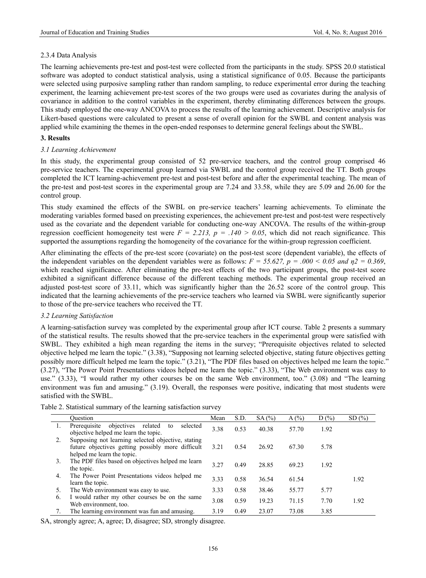# 2.3.4 Data Analysis

The learning achievements pre-test and post-test were collected from the participants in the study. SPSS 20.0 statistical software was adopted to conduct statistical analysis, using a statistical significance of 0.05. Because the participants were selected using purposive sampling rather than random sampling, to reduce experimental error during the teaching experiment, the learning achievement pre-test scores of the two groups were used as covariates during the analysis of covariance in addition to the control variables in the experiment, thereby eliminating differences between the groups. This study employed the one-way ANCOVA to process the results of the learning achievement. Descriptive analysis for Likert-based questions were calculated to present a sense of overall opinion for the SWBL and content analysis was applied while examining the themes in the open-ended responses to determine general feelings about the SWBL.

# **3. Results**

# *3.1 Learning Achievement*

In this study, the experimental group consisted of 52 pre-service teachers, and the control group comprised 46 pre-service teachers. The experimental group learned via SWBL and the control group received the TT. Both groups completed the ICT learning-achievement pre-test and post-test before and after the experimental teaching. The mean of the pre-test and post-test scores in the experimental group are 7.24 and 33.58, while they are 5.09 and 26.00 for the control group.

This study examined the effects of the SWBL on pre-service teachers' learning achievements. To eliminate the moderating variables formed based on preexisting experiences, the achievement pre-test and post-test were respectively used as the covariate and the dependent variable for conducting one-way ANCOVA. The results of the within-group regression coefficient homogeneity test were  $F = 2.213$ ,  $p = .140 > 0.05$ , which did not reach significance. This supported the assumptions regarding the homogeneity of the covariance for the within-group regression coefficient.

After eliminating the effects of the pre-test score (covariate) on the post-test score (dependent variable), the effects of the independent variables on the dependent variables were as follows:  $F = 55.627$ ,  $p = .000 < 0.05$  and  $\eta$ <sup>2</sup> = 0.369, which reached significance. After eliminating the pre-test effects of the two participant groups, the post-test score exhibited a significant difference because of the different teaching methods. The experimental group received an adjusted post-test score of 33.11, which was significantly higher than the 26.52 score of the control group. This indicated that the learning achievements of the pre-service teachers who learned via SWBL were significantly superior to those of the pre-service teachers who received the TT.

#### *3.2 Learning Satisfaction*

A learning-satisfaction survey was completed by the experimental group after ICT course. Table 2 presents a summary of the statistical results. The results showed that the pre-service teachers in the experimental group were satisfied with SWBL. They exhibited a high mean regarding the items in the survey; "Prerequisite objectives related to selected objective helped me learn the topic." (3.38), "Supposing not learning selected objective, stating future objectives getting possibly more difficult helped me learn the topic." (3.21), "The PDF files based on objectives helped me learn the topic." (3.27), "The Power Point Presentations videos helped me learn the topic." (3.33), "The Web environment was easy to use." (3.33), "I would rather my other courses be on the same Web environment, too." (3.08) and "The learning environment was fun and amusing." (3.19). Overall, the responses were positive, indicating that most students were satisfied with the SWBL.

|    | Ouestion                                                                                                                              | Mean | S.D. | SA(%) | A(%)  | $D(\%)$ | SD(%) |
|----|---------------------------------------------------------------------------------------------------------------------------------------|------|------|-------|-------|---------|-------|
|    | Prerequisite<br>objectives<br>related<br>selected<br>to<br>objective helped me learn the topic.                                       | 3.38 | 0.53 | 40.38 | 57.70 | 1.92    |       |
| 2. | Supposing not learning selected objective, stating<br>future objectives getting possibly more difficult<br>helped me learn the topic. | 3.21 | 0.54 | 26.92 | 67.30 | 5.78    |       |
| 3. | The PDF files based on objectives helped me learn<br>the topic.                                                                       | 3.27 | 0.49 | 28.85 | 69.23 | 1.92    |       |
| 4. | The Power Point Presentations videos helped me<br>learn the topic.                                                                    | 3.33 | 0.58 | 36.54 | 61.54 |         | 1.92  |
| 5. | The Web environment was easy to use.                                                                                                  | 3.33 | 0.58 | 38.46 | 55.77 | 5.77    |       |
| 6. | I would rather my other courses be on the same<br>Web environment, too.                                                               | 3.08 | 0.59 | 19.23 | 71.15 | 7.70    | 1.92  |
| 7. | The learning environment was fun and amusing.                                                                                         | 3.19 | 0.49 | 23.07 | 73.08 | 3.85    |       |

Table 2. Statistical summary of the learning satisfaction survey

SA, strongly agree; A, agree; D, disagree; SD, strongly disagree.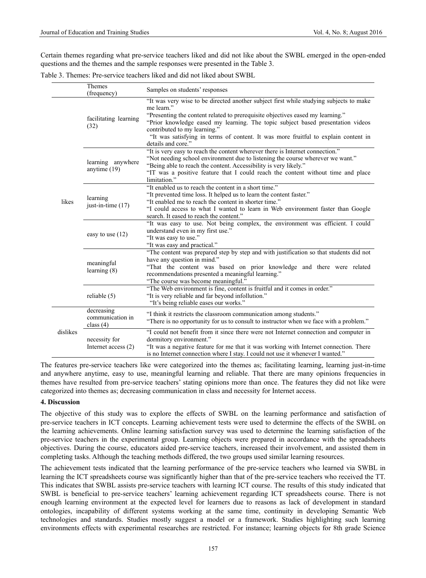Certain themes regarding what pre-service teachers liked and did not like about the SWBL emerged in the open-ended questions and the themes and the sample responses were presented in the Table 3.

Table 3. Themes: Pre-service teachers liked and did not liked about SWBL

|          | Themes<br>(frequency)                         | Samples on students' responses                                                                                                                                                                                                                                                                                                                                                                                        |  |  |
|----------|-----------------------------------------------|-----------------------------------------------------------------------------------------------------------------------------------------------------------------------------------------------------------------------------------------------------------------------------------------------------------------------------------------------------------------------------------------------------------------------|--|--|
| likes    | facilitating learning<br>(32)                 | "It was very wise to be directed another subject first while studying subjects to make<br>me learn."<br>"Presenting the content related to prerequisite objectives eased my learning."<br>"Prior knowledge eased my learning. The topic subject based presentation videos<br>contributed to my learning."<br>"It was satisfying in terms of content. It was more fruitful to explain content in<br>details and core." |  |  |
|          | learning anywhere<br>anytime (19)             | "It is very easy to reach the content wherever there is Internet connection."<br>"Not needing school environment due to listening the course wherever we want."<br>"Being able to reach the content. Accessibility is very likely."<br>"IT was a positive feature that I could reach the content without time and place<br>limitation."                                                                               |  |  |
|          | learning<br>just-in-time $(17)$               | "It enabled us to reach the content in a short time."<br>"It prevented time loss. It helped us to learn the content faster."<br>"It enabled me to reach the content in shorter time."<br>"I could access to what I wanted to learn in Web environment faster than Google<br>search. It eased to reach the content."                                                                                                   |  |  |
|          | easy to use $(12)$                            | "It was easy to use. Not being complex, the environment was efficient. I could<br>understand even in my first use."<br>"It was easy to use."<br>"It was easy and practical."                                                                                                                                                                                                                                          |  |  |
|          | meaningful<br>learning $(8)$                  | "The content was prepared step by step and with justification so that students did not<br>have any question in mind."<br>"That the content was based on prior knowledge and there were related<br>recommendations presented a meaningful learning."<br>"The course was become meaningful."                                                                                                                            |  |  |
|          | reliable $(5)$                                | "The Web environment is fine, content is fruitful and it comes in order."<br>"It is very reliable and far beyond infollution."<br>"It's being reliable eases our works."                                                                                                                                                                                                                                              |  |  |
| dislikes | decreasing<br>communication in<br>class $(4)$ | "I think it restricts the classroom communication among students."<br>"There is no opportunity for us to consult to instructor when we face with a problem."                                                                                                                                                                                                                                                          |  |  |
|          | necessity for<br>Internet access (2)          | "I could not benefit from it since there were not Internet connection and computer in<br>dormitory environment."<br>"It was a negative feature for me that it was working with Internet connection. There<br>is no Internet connection where I stay. I could not use it whenever I wanted."                                                                                                                           |  |  |

The features pre-service teachers like were categorized into the themes as; facilitating learning, learning just-in-time and anywhere anytime, easy to use, meaningful learning and reliable. That there are many opinions frequencies in themes have resulted from pre-service teachers' stating opinions more than once. The features they did not like were categorized into themes as; decreasing communication in class and necessity for Internet access.

#### **4. Discussion**

The objective of this study was to explore the effects of SWBL on the learning performance and satisfaction of pre-service teachers in ICT concepts. Learning achievement tests were used to determine the effects of the SWBL on the learning achievements. Online learning satisfaction survey was used to determine the learning satisfaction of the pre-service teachers in the experimental group. Learning objects were prepared in accordance with the spreadsheets objectives. During the course, educators aided pre-service teachers, increased their involvement, and assisted them in completing tasks. Although the teaching methods differed, the two groups used similar learning resources.

The achievement tests indicated that the learning performance of the pre-service teachers who learned via SWBL in learning the ICT spreadsheets course was significantly higher than that of the pre-service teachers who received the TT. This indicates that SWBL assists pre-service teachers with learning ICT course. The results of this study indicated that SWBL is beneficial to pre-service teachers' learning achievement regarding ICT spreadsheets course. There is not enough learning environment at the expected level for learners due to reasons as lack of development in standard ontologies, incapability of different systems working at the same time, continuity in developing Semantic Web technologies and standards. Studies mostly suggest a model or a framework. Studies highlighting such learning environments effects with experimental researches are restricted. For instance; learning objects for 8th grade Science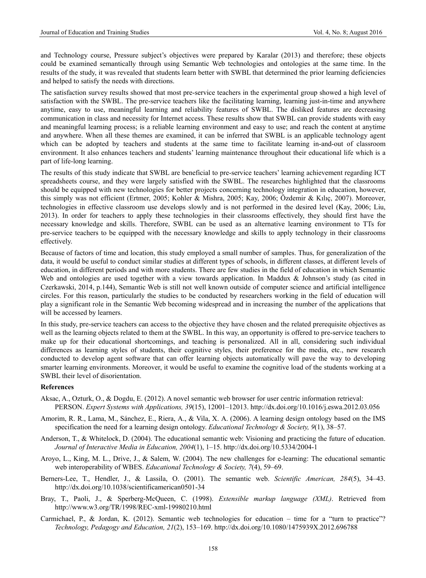and Technology course, Pressure subject's objectives were prepared by Karalar (2013) and therefore; these objects could be examined semantically through using Semantic Web technologies and ontologies at the same time. In the results of the study, it was revealed that students learn better with SWBL that determined the prior learning deficiencies and helped to satisfy the needs with directions.

The satisfaction survey results showed that most pre-service teachers in the experimental group showed a high level of satisfaction with the SWBL. The pre-service teachers like the facilitating learning, learning just-in-time and anywhere anytime, easy to use, meaningful learning and reliability features of SWBL. The disliked features are decreasing communication in class and necessity for Internet access. These results show that SWBL can provide students with easy and meaningful learning process; is a reliable learning environment and easy to use; and reach the content at anytime and anywhere. When all these themes are examined, it can be inferred that SWBL is an applicable technology agent which can be adopted by teachers and students at the same time to facilitate learning in-and-out of classroom environment. It also enhances teachers and students' learning maintenance throughout their educational life which is a part of life-long learning.

The results of this study indicate that SWBL are beneficial to pre-service teachers' learning achievement regarding ICT spreadsheets course, and they were largely satisfied with the SWBL. The researches highlighted that the classrooms should be equipped with new technologies for better projects concerning technology integration in education, however, this simply was not efficient (Ertmer, 2005; Kohler & Mishra, 2005; Kay, 2006; Özdemir & Kılıç, 2007). Moreover, technologies in effective classroom use develops slowly and is not performed in the desired level (Kay, 2006; Liu, 2013). In order for teachers to apply these technologies in their classrooms effectively, they should first have the necessary knowledge and skills. Therefore, SWBL can be used as an alternative learning environment to TTs for pre-service teachers to be equipped with the necessary knowledge and skills to apply technology in their classrooms effectively.

Because of factors of time and location, this study employed a small number of samples. Thus, for generalization of the data, it would be useful to conduct similar studies at different types of schools, in different classes, at different levels of education, in different periods and with more students. There are few studies in the field of education in which Semantic Web and ontologies are used together with a view towards application. In Maddux & Johnson's study (as cited in Czerkawski, 2014, p.144), Semantic Web is still not well known outside of computer science and artificial intelligence circles. For this reason, particularly the studies to be conducted by researchers working in the field of education will play a significant role in the Semantic Web becoming widespread and in increasing the number of the applications that will be accessed by learners.

In this study, pre-service teachers can access to the objective they have chosen and the related prerequisite objectives as well as the learning objects related to them at the SWBL. In this way, an opportunity is offered to pre-service teachers to make up for their educational shortcomings, and teaching is personalized. All in all, considering such individual differences as learning styles of students, their cognitive styles, their preference for the media, etc., new research conducted to develop agent software that can offer learning objects automatically will pave the way to developing smarter learning environments. Moreover, it would be useful to examine the cognitive load of the students working at a SWBL their level of disorientation.

#### **References**

- Aksac, A., Ozturk, O., & Dogdu, E. (2012). A novel semantic web browser for user centric information retrieval: PERSON. *Expert Systems with Applications, 39*(15), 12001–12013. http://dx.doi.org/10.1016/j.eswa.2012.03.056
- Amorim, R. R., Lama, M., Sánchez, E., Riera, A., & Vila, X. A. (2006). A learning design ontology based on the IMS specification the need for a learning design ontology. *Educational Technology & Society, 9*(1), 38–57.
- Anderson, T., & Whitelock, D. (2004). The educational semantic web: Visioning and practicing the future of education. *Journal of Interactive Media in Education, 2004*(1), 1–15. http://dx.doi.org/10.5334/2004-1
- Aroyo, L., King, M. L., Drive, J., & Salem, W. (2004). The new challenges for e-learning: The educational semantic web interoperability of WBES. *Educational Technology & Society, 7*(4), 59–69.
- Berners-Lee, T., Hendler, J., & Lassila, O. (2001). The semantic web. *Scientific American, 284*(5), 34–43. http://dx.doi.org/10.1038/scientificamerican0501-34
- Bray, T., Paoli, J., & Sperberg-McQueen, C. (1998). *Extensible markup language (XML)*. Retrieved from http://www.w3.org/TR/1998/REC-xml-19980210.html
- Carmichael, P., & Jordan, K. (2012). Semantic web technologies for education time for a "turn to practice"? *Technology, Pedagogy and Education, 21*(2), 153–169. http://dx.doi.org/10.1080/1475939X.2012.696788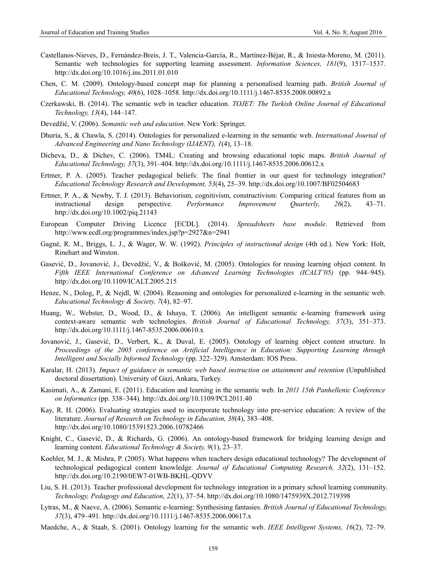- Castellanos-Nieves, D., Fernández-Breis, J. T., Valencia-García, R., Martínez-Béjar, R., & Iniesta-Moreno, M. (2011). Semantic web technologies for supporting learning assessment. *Information Sciences, 181*(9), 1517–1537. http://dx.doi.org/10.1016/j.ins.2011.01.010
- Chen, C. M. (2009). Ontology-based concept map for planning a personalised learning path. *British Journal of Educational Technology, 40*(6), 1028–1058. http://dx.doi.org/10.1111/j.1467-8535.2008.00892.x
- Czerkawski, B. (2014). The semantic web in teacher education. *TOJET: The Turkish Online Journal of Educational Technology, 13*(4), 144–147.
- Devedžić, V. (2006). *Semantic web and education*. New York: Springer.
- Dhuria, S., & Chawla, S. (2014). Ontologies for personalized e-learning in the semantic web. *International Journal of Advanced Engineering and Nano Technology (IJAENT), 1*(4), 13–18.
- Dicheva, D., & Dichev, C. (2006). TM4L: Creating and browsing educational topic maps. *British Journal of Educational Technology, 37*(3), 391–404. http://dx.doi.org/10.1111/j.1467-8535.2006.00612.x
- Ertmer, P. A. (2005). Teacher pedagogical beliefs: The final frontier in our quest for technology integration? *Educational Technology Research and Development, 53*(4), 25–39. http://dx.doi.org/10.1007/BF02504683
- Ertmer, P. A., & Newby, T. J. (2013). Behaviorism, cognitivism, constructivism: Comparing critical features from an instructional design perspective. *Performance Improvement Quarterly, 26*(2), 43–71. http://dx.doi.org/10.1002/piq.21143
- European Computer Driving Licence [ECDL]. (2014). *Spreadsheets base module*. Retrieved from http://www.ecdl.org/programmes/index.jsp?p=2927&n=2941
- Gagné, R. M., Briggs, L. J., & Wager, W. W. (1992). *Principles of instructional design* (4th ed.). New York: Holt, Rinehart and Winston.
- Gasević, D., Jovanović, J., Devedžić, V., & Bošković, M. (2005). Ontologies for reusing learning object content. In *Fifth IEEE International Conference on Advanced Learning Technologies (ICALT'05)* (pp. 944–945). http://dx.doi.org/10.1109/ICALT.2005.215
- Henze, N., Dolog, P., & Nejdl, W. (2004). Reasoning and ontologies for personalized e-learning in the semantic web. *Educational Technology & Society, 7*(4), 82–97.
- Huang, W., Webster, D., Wood, D., & Ishaya, T. (2006). An intelligent semantic e-learning framework using context-aware semantic web technologies. *British Journal of Educational Technology, 37*(3), 351–373. http://dx.doi.org/10.1111/j.1467-8535.2006.00610.x
- Jovanović, J., Gasević, D., Verbert, K., & Duval, E. (2005). Ontology of learning object content structure. In *Proceedings of the 2005 conference on Artificial Intelligence in Education: Supporting Learning through Intelligent and Socially Informed Technology* (pp. 322–329). Amsterdam: IOS Press.
- Karalar, H. (2013). *Impact of guidance in semantic web based instruction on attainment and retention* (Unpublished doctoral dissertation). University of Gazi, Ankara, Turkey.
- Kasimati, A., & Zamani, E. (2011). Education and learning in the semantic web. In *2011 15th Panhellenic Conference on Informatics* (pp. 338–344). http://dx.doi.org/10.1109/PCI.2011.40
- Kay, R. H. (2006). Evaluating strategies used to incorporate technology into pre-service education: A review of the literature. *Journal of Research on Technology in Education, 38*(4), 383–408. http://dx.doi.org/10.1080/15391523.2006.10782466
- Knight, C., Gasević, D., & Richards, G. (2006). An ontology-based framework for bridging learning design and learning content. *Educational Technology & Society, 9*(1), 23–37.
- Koehler, M. J., & Mishra, P. (2005). What happens when teachers design educational technology? The development of technological pedagogical content knowledge. *Journal of Educational Computing Research, 32*(2), 131–152. http://dx.doi.org/10.2190/0EW7-01WB-BKHL-QDYV
- Liu, S. H. (2013). Teacher professional development for technology integration in a primary school learning community. *Technology, Pedagogy and Education, 22*(1), 37–54. http://dx.doi.org/10.1080/1475939X.2012.719398
- Lytras, M., & Naeve, A. (2006). Semantic e-learning: Synthesising fantasies. *British Journal of Educational Technology, 37*(3), 479–491. http://dx.doi.org/10.1111/j.1467-8535.2006.00617.x
- Maedche, A., & Staab, S. (2001). Ontology learning for the semantic web. *IEEE Intelligent Systems, 16*(2), 72–79.